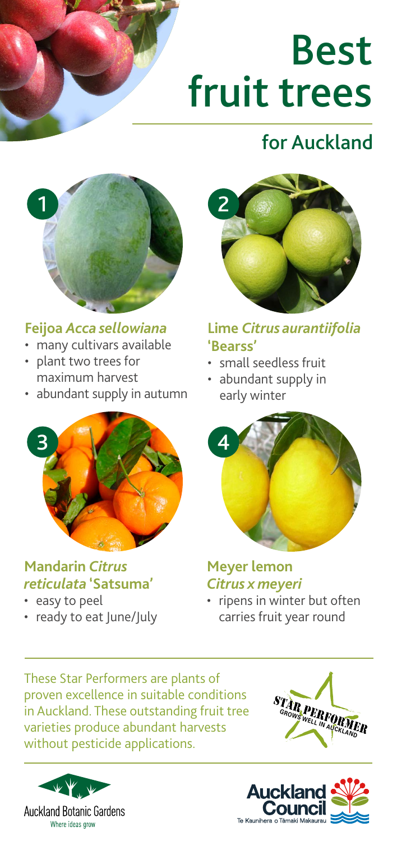# Best fruit trees

## for Auckland



#### **Feijoa** *Acca sellowiana*

- many cultivars available
- plant two trees for maximum harvest
- abundant supply in autumn



#### **Mandarin** *Citrus reticulata* **'Satsuma'**

- easy to peel
- ready to eat June/July



#### **Lime** *Citrus aurantiifolia* **'Bearss'**

- small seedless fruit
- abundant supply in early winter



#### **Meyer lemon**  *Citrus x meyeri*

• ripens in winter but often carries fruit year round

These Star Performers are plants of proven excellence in suitable conditions in Auckland. These outstanding fruit tree varieties produce abundant harvests without pesticide applications.